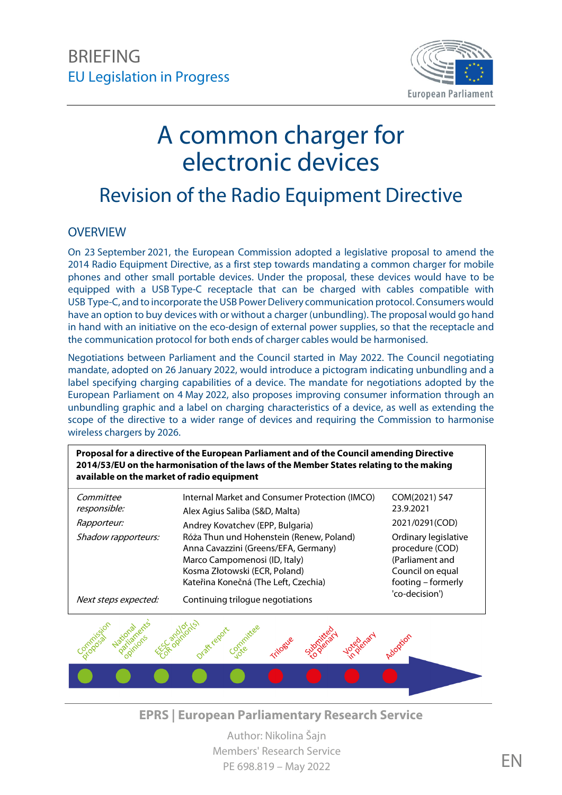

# A common charger for electronic devices

## Revision of the Radio Equipment Directive

#### **OVERVIEW**

On 23 September 2021, the European Commission adopted a legislative proposal to amend the 2014 Radio Equipment Directive, as a first step towards mandating a common charger for mobile phones and other small portable devices. Under the proposal, these devices would have to be equipped with a USB Type-C receptacle that can be charged with cables compatible with USB Type-C, and to incorporate the USB Power Delivery communication protocol. Consumers would have an option to buy devices with or without a charger (unbundling). The proposal would go hand in hand with an initiative on the eco-design of external power supplies, so that the receptacle and the communication protocol for both ends of charger cables would be harmonised.

Negotiations between Parliament and the Council started in May 2022. The Council negotiating mandate, adopted on 26 January 2022, would introduce a pictogram indicating unbundling and a label specifying charging capabilities of a device. The mandate for negotiations adopted by the European Parliament on 4 May 2022, also proposes improving consumer information through an unbundling graphic and a label on charging characteristics of a device, as well as extending the scope of the directive to a wider range of devices and requiring the Commission to harmonise wireless chargers by 2026.

**Proposal for a directive of the European Parliament and of the Council amending Directive 2014/53/EU on the harmonisation of the laws of the Member States relating to the making available on the market of radio equipment**

| Committee<br>responsible: | Internal Market and Consumer Protection (IMCO)<br>Alex Agius Saliba (S&D, Malta)                                                                                                           | COM(2021) 547<br>23.9.2021                                                                           |
|---------------------------|--------------------------------------------------------------------------------------------------------------------------------------------------------------------------------------------|------------------------------------------------------------------------------------------------------|
| <i>Rapporteur:</i>        | Andrey Kovatchev (EPP, Bulgaria)                                                                                                                                                           | 2021/0291(COD)                                                                                       |
| Shadow rapporteurs:       | Róża Thun und Hohenstein (Renew, Poland)<br>Anna Cavazzini (Greens/EFA, Germany)<br>Marco Campomenosi (ID, Italy)<br>Kosma Złotowski (ECR, Poland)<br>Kateřina Konečná (The Left, Czechia) | Ordinary legislative<br>procedure (COD)<br>(Parliament and<br>Council on equal<br>footing - formerly |
| Next steps expected:      | Continuing trilogue negotiations                                                                                                                                                           | 'co-decision')                                                                                       |



**EPRS | European Parliamentary Research Service**

Author: Nikolina Šajn Members' Research Service PE 698.819 – May 2022 **EN**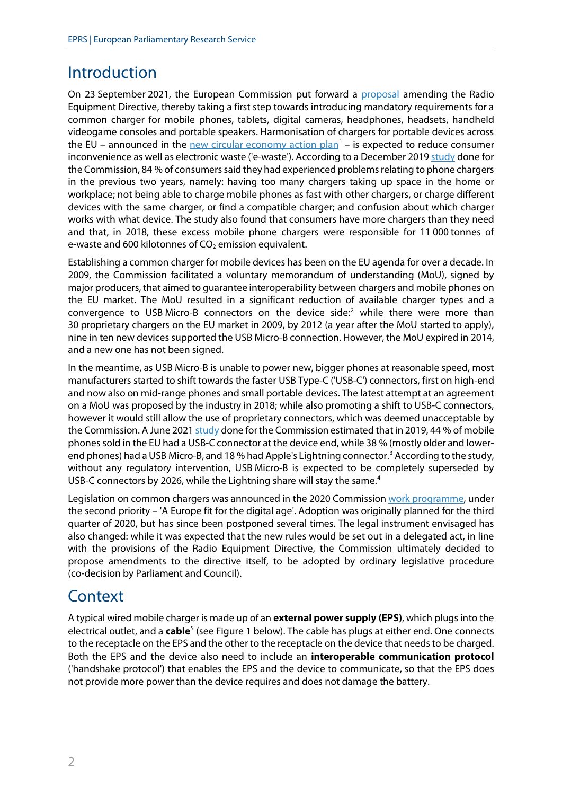## Introduction

On 23 September 2021, the European Commission put forward a [proposal](https://eur-lex.europa.eu/legal-content/EN/TXT/?uri=CELEX%3A52021PC0547) amending the Radio Equipment Directive, thereby taking a first step towards introducing mandatory requirements for a common charger for mobile phones, tablets, digital cameras, headphones, headsets, handheld videogame consoles and portable speakers. Harmonisation of chargers for portable devices across the EU – announced in the **[new circular economy action plan](https://eur-lex.europa.eu/legal-content/EN/TXT/?uri=CELEX%3A52020DC0098)<sup>[1](#page-9-0)</sup>** – is expected to reduce consumer inconvenience as well as electronic waste ('e-waste'). According to a December 2019 [study](https://op.europa.eu/en/web/eu-law-and-publications/publication-detail/-/publication/c6fadfea-4641-11ea-b81b-01aa75ed71a1) done for the Commission, 84 % of consumers said they had experienced problems relating to phone chargers in the previous two years, namely: having too many chargers taking up space in the home or workplace; not being able to charge mobile phones as fast with other chargers, or charge different devices with the same charger, or find a compatible charger; and confusion about which charger works with what device. The study also found that consumers have more chargers than they need and that, in 2018, these excess mobile phone chargers were responsible for 11 000 tonnes of e-waste and 600 kilotonnes of  $CO<sub>2</sub>$  emission equivalent.

Establishing a common charger for mobile devices has been on the EU agenda for over a decade. In 2009, the Commission facilitated a voluntary memorandum of understanding (MoU), signed by major producers, that aimed to guarantee interoperability between chargers and mobile phones on the EU market. The MoU resulted in a significant reduction of available charger types and a convergence to USB Micro-B connectors on the device side:<sup>[2](#page-9-1)</sup> while there were more than 30 proprietary chargers on the EU market in 2009, by 2012 (a year after the MoU started to apply), nine in ten new devices supported the USB Micro-B connection. However, the MoU expired in 2014, and a new one has not been signed.

In the meantime, as USB Micro-B is unable to power new, bigger phones at reasonable speed, most manufacturers started to shift towards the faster USB Type-C ('USB-C') connectors, first on high-end and now also on mid-range phones and small portable devices. The latest attempt at an agreement on a MoU was proposed by the industry in 2018; while also promoting a shift to USB-C connectors, however it would still allow the use of proprietary connectors, which was deemed unacceptable by the Commission. A June 2021 [study](https://op.europa.eu/en/publication-detail/-/publication/90e9a07d-1054-11ec-9151-01aa75ed71a1/language-en/format-PDF/source-229339792) done for the Commission estimated that in 2019, 44 % of mobile phones sold in the EU had a USB-C connector at the device end, while 38 % (mostly older and lower-end phones) had a USB Micro-B, and 18 % had Apple's Lightning connector.<sup>[3](#page-9-2)</sup> According to the study, without any regulatory intervention, USB Micro-B is expected to be completely superseded by USB-C connectors by 2026, while the Lightning share will stay the same.<sup>[4](#page-9-3)</sup>

Legislation on common chargers was announced in the 2020 Commissio[n work programme,](https://eur-lex.europa.eu/legal-content/EN/TXT/?uri=COM:2020:37:FIN) under the second priority – 'A Europe fit for the digital age'. Adoption was originally planned for the third quarter of 2020, but has since been postponed several times. The legal instrument envisaged has also changed: while it was expected that the new rules would be set out in a delegated act, in line with the provisions of the Radio Equipment Directive, the Commission ultimately decided to propose amendments to the directive itself, to be adopted by ordinary legislative procedure (co-decision by Parliament and Council).

## **Context**

A typical wired mobile charger is made up of an **external power supply (EPS)**, which plugs into the electrical outlet, and a **cable**[5](#page-9-4) (see Figure 1 below). The cable has plugs at either end. One connects to the receptacle on the EPS and the other to the receptacle on the device that needs to be charged. Both the EPS and the device also need to include an **interoperable communication protocol** ('handshake protocol') that enables the EPS and the device to communicate, so that the EPS does not provide more power than the device requires and does not damage the battery.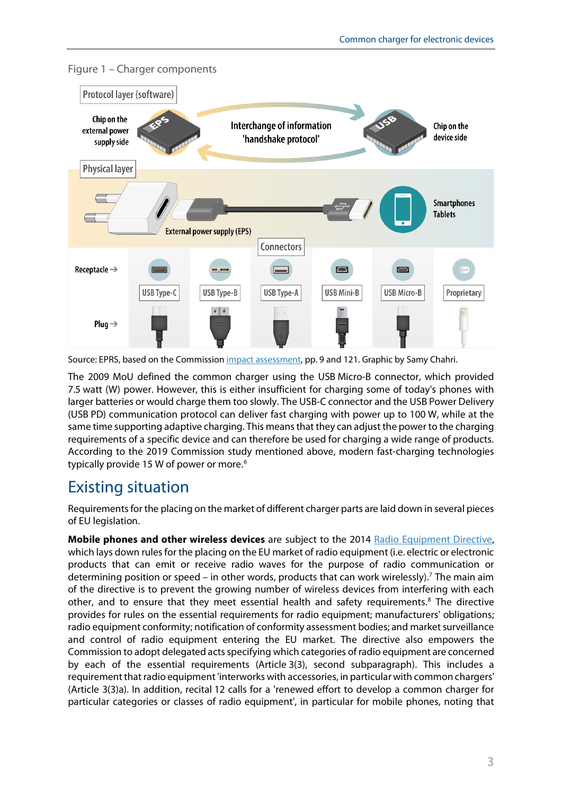

Figure 1 – Charger components

Source: EPRS, based on the Commissio[n impact assessment,](https://eur-lex.europa.eu/legal-content/EN/TXT/?uri=CELEX%3A52021SC0245&qid=1634303077723) pp. 9 and 121. Graphic by Samy Chahri.

The 2009 MoU defined the common charger using the USB Micro-B connector, which provided 7.5 watt (W) power. However, this is either insufficient for charging some of today's phones with larger batteries or would charge them too slowly. The USB-C connector and the USB Power Delivery (USB PD) communication protocol can deliver fast charging with power up to 100 W, while at the same time supporting adaptive charging. This means that they can adjust the power to the charging requirements of a specific device and can therefore be used for charging a wide range of products. According to the 2019 Commission study mentioned above, modern fast-charging technologies typically provide 15 W of power or more.<sup>[6](#page-9-5)</sup>

## Existing situation

Requirementsfor the placing on the market of different charger parts are laid down in several pieces of EU legislation.

**Mobile phones and other wireless devices** are subject to the 2014 [Radio Equipment Directive,](https://eur-lex.europa.eu/legal-content/EN/TXT/?uri=celex%3A32014L0053) which lays down rules for the placing on the EU market of radio equipment (i.e. electric or electronic products that can emit or receive radio waves for the purpose of radio communication or determining position or speed – in other words, products that can work wirelessly).<sup>[7](#page-9-6)</sup> The main aim of the directive is to prevent the growing number of wireless devices from interfering with each other, and to ensure that they meet essential health and safety requirements. $8$  The directive provides for rules on the essential requirements for radio equipment; manufacturers' obligations; radio equipment conformity; notification of conformity assessment bodies; and market surveillance and control of radio equipment entering the EU market. The directive also empowers the Commission to adopt delegated acts specifying which categories of radio equipment are concerned by each of the essential requirements (Article 3(3), second subparagraph). This includes a requirement that radio equipment 'interworks with accessories, in particular with common chargers' (Article 3(3)a). In addition, recital 12 calls for a 'renewed effort to develop a common charger for particular categories or classes of radio equipment', in particular for mobile phones, noting that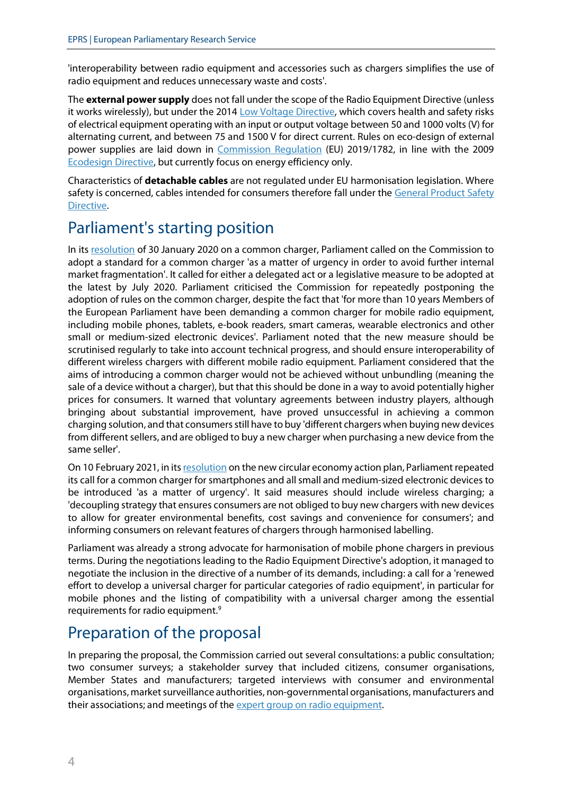'interoperability between radio equipment and accessories such as chargers simplifies the use of radio equipment and reduces unnecessary waste and costs'.

The **external power supply** does not fall under the scope of the Radio Equipment Directive (unless it works wirelessly), but under the 2014 [Low Voltage Directive,](https://eur-lex.europa.eu/legal-content/EN/TXT/?uri=CELEX:32014L0035) which covers health and safety risks of electrical equipment operating with an input or output voltage between 50 and 1000 volts (V) for alternating current, and between 75 and 1500 V for direct current. Rules on eco-design of external power supplies are laid down in [Commission Regulation](https://eur-lex.europa.eu/legal-content/EN/TXT/?uri=uriserv:OJ.L_.2019.272.01.0095.01.ENG) (EU) 2019/1782, in line with the 2009 [Ecodesign Directive,](https://eur-lex.europa.eu/legal-content/EN/ALL/?uri=celex%3A32009L0125) but currently focus on energy efficiency only.

Characteristics of **detachable cables** are not regulated under EU harmonisation legislation. Where safety is concerned, cables intended for consumers therefore fall under the [General Product Safety](https://eur-lex.europa.eu/legal-content/EN/ALL/?uri=celex%3A32001L0095)  [Directive.](https://eur-lex.europa.eu/legal-content/EN/ALL/?uri=celex%3A32001L0095)

## Parliament's starting position

In its [resolution](https://www.europarl.europa.eu/doceo/document/TA-9-2020-0024_EN.html) of 30 January 2020 on a common charger, Parliament called on the Commission to adopt a standard for a common charger 'as a matter of urgency in order to avoid further internal market fragmentation'. It called for either a delegated act or a legislative measure to be adopted at the latest by July 2020. Parliament criticised the Commission for repeatedly postponing the adoption of rules on the common charger, despite the fact that 'for more than 10 years Members of the European Parliament have been demanding a common charger for mobile radio equipment, including mobile phones, tablets, e-book readers, smart cameras, wearable electronics and other small or medium-sized electronic devices'. Parliament noted that the new measure should be scrutinised regularly to take into account technical progress, and should ensure interoperability of different wireless chargers with different mobile radio equipment. Parliament considered that the aims of introducing a common charger would not be achieved without unbundling (meaning the sale of a device without a charger), but that this should be done in a way to avoid potentially higher prices for consumers. It warned that voluntary agreements between industry players, although bringing about substantial improvement, have proved unsuccessful in achieving a common charging solution, and that consumers still have to buy 'different chargers when buying new devices from different sellers, and are obliged to buy a new charger when purchasing a new device from the same seller'.

On 10 February 2021, in it[s resolution](https://www.europarl.europa.eu/doceo/document/TA-9-2021-0040_EN.html) on the new circular economy action plan, Parliament repeated its call for a common charger for smartphones and all small and medium-sized electronic devices to be introduced 'as a matter of urgency'. It said measures should include wireless charging; a 'decoupling strategy that ensures consumers are not obliged to buy new chargers with new devices to allow for greater environmental benefits, cost savings and convenience for consumers'; and informing consumers on relevant features of chargers through harmonised labelling.

Parliament was already a strong advocate for harmonisation of mobile phone chargers in previous terms. During the negotiations leading to the Radio Equipment Directive's adoption, it managed to negotiate the inclusion in the directive of a number of its demands, including: a call for a 'renewed effort to develop a universal charger for particular categories of radio equipment', in particular for mobile phones and the listing of compatibility with a universal charger among the essential requirements for radio equipment.<sup>[9](#page-9-8)</sup>

## Preparation of the proposal

In preparing the proposal, the Commission carried out several consultations: a public consultation; two consumer surveys; a stakeholder survey that included citizens, consumer organisations, Member States and manufacturers; targeted interviews with consumer and environmental organisations, market surveillance authorities, non-governmental organisations, manufacturers and their associations; and meetings of the expert group on radio equipment.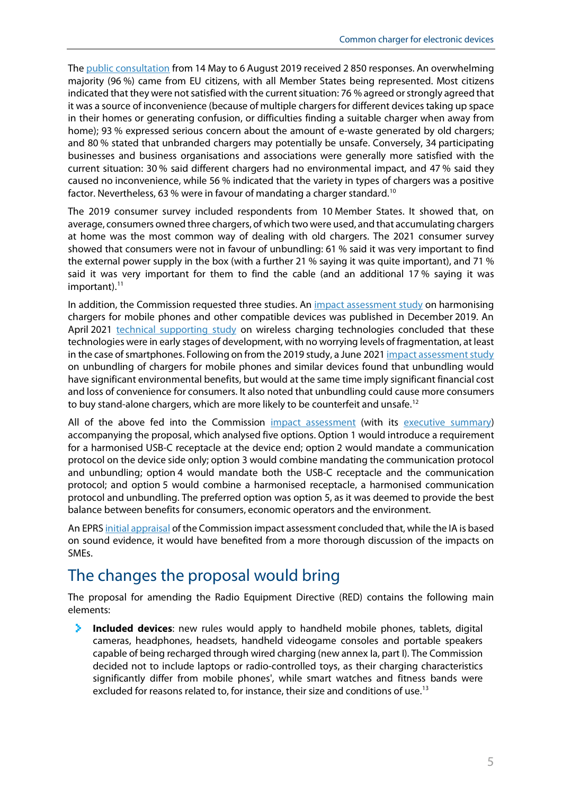Th[e public consultation](https://ec.europa.eu/info/law/better-regulation/have-your-say/initiatives/2020-Common-chargers-for-mobile-phones-and-similar-devices/public-consultation_en) from 14 May to 6 August 2019 received 2 850 responses. An overwhelming majority (96 %) came from EU citizens, with all Member States being represented. Most citizens indicated that they were not satisfied with the current situation: 76 % agreed or strongly agreed that it was a source of inconvenience (because of multiple chargers for different devices taking up space in their homes or generating confusion, or difficulties finding a suitable charger when away from home); 93 % expressed serious concern about the amount of e-waste generated by old chargers; and 80 % stated that unbranded chargers may potentially be unsafe. Conversely, 34 participating businesses and business organisations and associations were generally more satisfied with the current situation: 30 % said different chargers had no environmental impact, and 47 % said they caused no inconvenience, while 56 % indicated that the variety in types of chargers was a positive factor. Nevertheless, 63 % were in favour of mandating a charger standard.[10](#page-9-9)

The 2019 consumer survey included respondents from 10 Member States. It showed that, on average, consumers owned three chargers, of which two were used, and that accumulating chargers at home was the most common way of dealing with old chargers. The 2021 consumer survey showed that consumers were not in favour of unbundling: 61 % said it was very important to find the external power supply in the box (with a further 21 % saying it was quite important), and 71 % said it was very important for them to find the cable (and an additional 17 % saying it was important). $11$ 

In addition, the Commission requested three studies. An [impact assessment study](https://op.europa.eu/en/web/eu-law-and-publications/publication-detail/-/publication/c6fadfea-4641-11ea-b81b-01aa75ed71a1) on harmonising chargers for mobile phones and other compatible devices was published in December 2019. An April 2021 technical [supporting](https://op.europa.eu/en/publication-detail/-/publication/f8c20ee7-1053-11ec-9151-01aa75ed71a1/language-en/format-PDF/source-229340040) study on wireless charging technologies concluded that these technologies were in early stages of development, with no worrying levels of fragmentation, at least in the case of smartphones. Following on from the 2019 study, a June 2021 [impact assessment study](https://op.europa.eu/en/publication-detail/-/publication/90e9a07d-1054-11ec-9151-01aa75ed71a1/language-en/format-PDF/source-229339792) on unbundling of chargers for mobile phones and similar devices found that unbundling would have significant environmental benefits, but would at the same time imply significant financial cost and loss of convenience for consumers. It also noted that unbundling could cause more consumers to buy stand-alone chargers, which are more likely to be counterfeit and unsafe.<sup>[12](#page-9-11)</sup>

All of the above fed into the Commission [impact assessment](https://eur-lex.europa.eu/legal-content/EN/TXT/?uri=CELEX%3A52021SC0245&qid=1634303077723) (with its [executive summary\)](https://eur-lex.europa.eu/legal-content/EN/TXT/?uri=CELEX%3A52021SC0246&qid=1634303130920) accompanying the proposal, which analysed five options. Option 1 would introduce a requirement for a harmonised USB-C receptacle at the device end; option 2 would mandate a communication protocol on the device side only; option 3 would combine mandating the communication protocol and unbundling; option 4 would mandate both the USB-C receptacle and the communication protocol; and option 5 would combine a harmonised receptacle, a harmonised communication protocol and unbundling. The preferred option was option 5, as it was deemed to provide the best balance between benefits for consumers, economic operators and the environment.

An EPR[S initial appraisal](https://www.europarl.europa.eu/thinktank/en/document/EPRS_BRI(2022)699480) of the Commission impact assessment concluded that, while the IA is based on sound evidence, it would have benefited from a more thorough discussion of the impacts on SMEs.

#### The changes the proposal would bring

The proposal for amending the Radio Equipment Directive (RED) contains the following main elements:

У. **Included devices**: new rules would apply to handheld mobile phones, tablets, digital cameras, headphones, headsets, handheld videogame consoles and portable speakers capable of being recharged through wired charging (new annex Ia, part I). The Commission decided not to include laptops or radio-controlled toys, as their charging characteristics significantly differ from mobile phones', while smart watches and fitness bands were excluded for reasons related to, for instance, their size and conditions of use.<sup>[13](#page-9-12)</sup>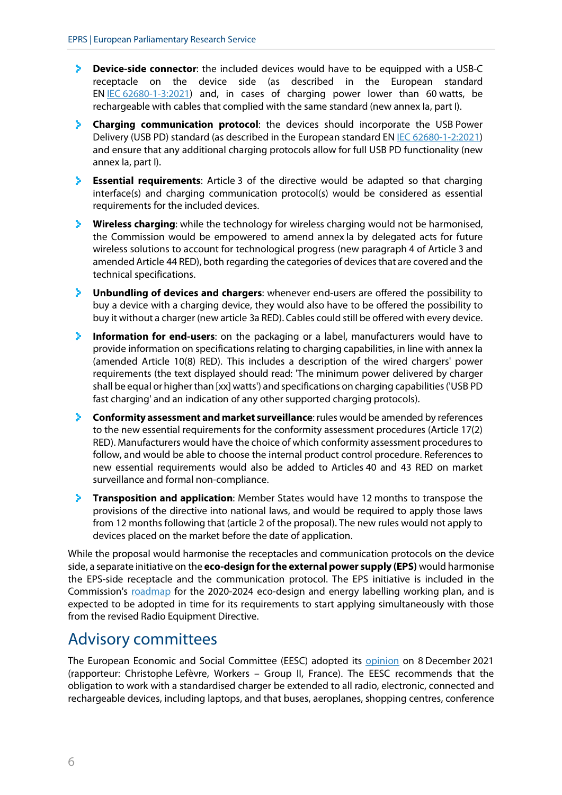- **Device-side connector**: the included devices would have to be equipped with a USB-C У. receptacle on the device side (as described in the European standard EN IEC [62680-1-3:2021\)](https://webstore.iec.ch/publication/66588) and, in cases of charging power lower than 60 watts, be rechargeable with cables that complied with the same standard (new annex Ia, part I).
- **Charging communication protocol**: the devices should incorporate the USB Power Delivery (USB PD) standard (as described in the European standard EN IEC [62680-1-2:2021\)](https://webstore.iec.ch/publication/66589) and ensure that any additional charging protocols allow for full USB PD functionality (new annex Ia, part I).
- **Essential requirements**: Article 3 of the directive would be adapted so that charging interface(s) and charging communication protocol(s) would be considered as essential requirements for the included devices.
- **Wireless charging**: while the technology for wireless charging would not be harmonised, У. the Commission would be empowered to amend annex Ia by delegated acts for future wireless solutions to account for technological progress (new paragraph 4 of Article 3 and amended Article 44 RED), both regarding the categories of devices that are covered and the technical specifications.
- У. **Unbundling of devices and chargers**: whenever end-users are offered the possibility to buy a device with a charging device, they would also have to be offered the possibility to buy it without a charger (new article 3a RED). Cables could still be offered with every device.
- ×. **Information for end-users**: on the packaging or a label, manufacturers would have to provide information on specifications relating to charging capabilities, in line with annex Ia (amended Article 10(8) RED). This includes a description of the wired chargers' power requirements (the text displayed should read: 'The minimum power delivered by charger shall be equal or higher than [xx] watts') and specifications on charging capabilities ('USB PD fast charging' and an indication of any other supported charging protocols).
- **Conformity assessment and market surveillance**: rules would be amended by references to the new essential requirements for the conformity assessment procedures (Article 17(2) RED). Manufacturers would have the choice of which conformity assessment procedures to follow, and would be able to choose the internal product control procedure. References to new essential requirements would also be added to Articles 40 and 43 RED on market surveillance and formal non-compliance.
- **Transposition and application**: Member States would have 12 months to transpose the provisions of the directive into national laws, and would be required to apply those laws from 12 months following that (article 2 of the proposal). The new rules would not apply to devices placed on the market before the date of application.

While the proposal would harmonise the receptacles and communication protocols on the device side, a separate initiative on the **eco-design for the external power supply (EPS)** would harmonise the EPS-side receptacle and the communication protocol. The EPS initiative is included in the Commission's [roadmap](https://ec.europa.eu/info/law/better-regulation/have-your-say/initiatives/12852-Energy-efficiency-and-circular-economy-ecodesign-and-energy-labelling-working-plan-2020-2024_en) for the 2020-2024 eco-design and energy labelling working plan, and is expected to be adopted in time for its requirements to start applying simultaneously with those from the revised Radio Equipment Directive.

#### Advisory committees

The European Economic and Social Committee (EESC) adopted its [opinion](https://dmsearch.eesc.europa.eu/search/public?LANG=EN&k=(documentsource:EESC)(dossiername:INT)(dossiernumber:966)(documentlanguage:EN)) on 8 December 2021 (rapporteur: Christophe Lefèvre, Workers – Group II, France). The EESC recommends that the obligation to work with a standardised charger be extended to all radio, electronic, connected and rechargeable devices, including laptops, and that buses, aeroplanes, shopping centres, conference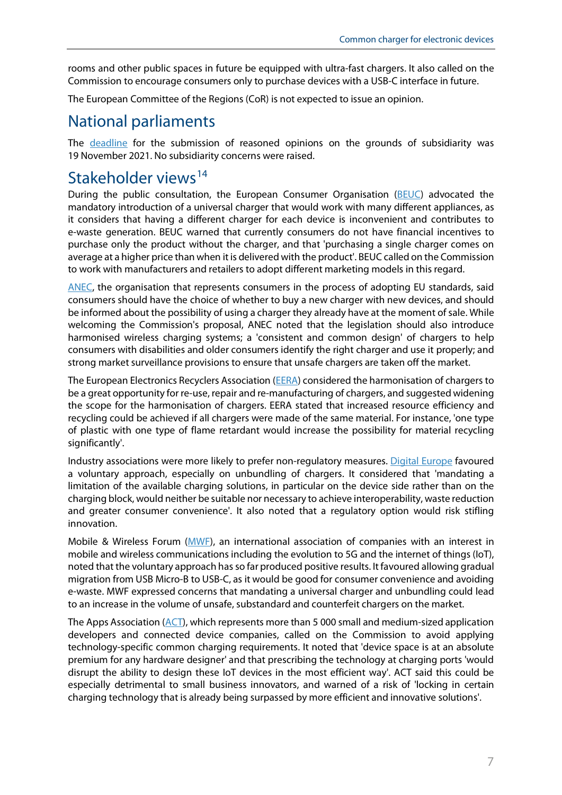rooms and other public spaces in future be equipped with ultra-fast chargers. It also called on the Commission to encourage consumers only to purchase devices with a USB-C interface in future.

The European Committee of the Regions (CoR) is not expected to issue an opinion.

#### National parliaments

The [deadline](https://secure.ipex.eu/IPEXL-WEB/document/COM-2021-547) for the submission of reasoned opinions on the grounds of subsidiarity was 19 November 2021. No subsidiarity concerns were raised.

#### Stakeholder views<sup>[14](#page-9-13)</sup>

During the public consultation, the European Consumer Organisation [\(BEUC\)](https://ec.europa.eu/info/law/better-regulation/have-your-say/initiatives/2020-Standard-chargers-for-mobile-phones/F18102_en) advocated the mandatory introduction of a universal charger that would work with many different appliances, as it considers that having a different charger for each device is inconvenient and contributes to e-waste generation. BEUC warned that currently consumers do not have financial incentives to purchase only the product without the charger, and that 'purchasing a single charger comes on average at a higher price than when it is delivered with the product'. BEUC called on the Commission to work with manufacturers and retailers to adopt different marketing models in this regard.

[ANEC,](https://www.anec.eu/images/Publications/press-releases/ANEC-PR-2021-PRL-006.pdf) the organisation that represents consumers in the process of adopting EU standards, said consumers should have the choice of whether to buy a new charger with new devices, and should be informed about the possibility of using a charger they already have at the moment of sale. While welcoming the Commission's proposal, ANEC noted that the legislation should also introduce harmonised wireless charging systems; a 'consistent and common design' of chargers to help consumers with disabilities and older consumers identify the right charger and use it properly; and strong market surveillance provisions to ensure that unsafe chargers are taken off the market.

The European Electronics Recyclers Association [\(EERA\)](https://ec.europa.eu/info/law/better-regulation/have-your-say/initiatives/2020-Standard-chargers-for-mobile-phones/F15982_en) considered the harmonisation of chargers to be a great opportunity for re-use, repair and re-manufacturing of chargers, and suggested widening the scope for the harmonisation of chargers. EERA stated that increased resource efficiency and recycling could be achieved if all chargers were made of the same material. For instance, 'one type of plastic with one type of flame retardant would increase the possibility for material recycling significantly'.

Industry associations were more likely to prefer non-regulatory measures. [Digital Europe](https://ec.europa.eu/info/law/better-regulation/have-your-say/initiatives/2020-Standard-chargers-for-mobile-phones/F18095_en) favoured a voluntary approach, especially on unbundling of chargers. It considered that 'mandating a limitation of the available charging solutions, in particular on the device side rather than on the charging block, would neither be suitable nor necessary to achieve interoperability, waste reduction and greater consumer convenience'. It also noted that a regulatory option would risk stifling innovation.

Mobile & Wireless Forum [\(MWF\)](https://ec.europa.eu/info/law/better-regulation/have-your-say/initiatives/2020-Standard-chargers-for-mobile-phones/F18063_en), an international association of companies with an interest in mobile and wireless communications including the evolution to 5G and the internet of things (IoT), noted that the voluntary approach has so far produced positive results. It favoured allowing gradual migration from USB Micro-B to USB-C, as it would be good for consumer convenience and avoiding e-waste. MWF expressed concerns that mandating a universal charger and unbundling could lead to an increase in the volume of unsafe, substandard and counterfeit chargers on the market.

The Apps Association ( $\angle$ ACT), which represents more than 5 000 small and medium-sized application developers and connected device companies, called on the Commission to avoid applying technology-specific common charging requirements. It noted that 'device space is at an absolute premium for any hardware designer' and that prescribing the technology at charging ports 'would disrupt the ability to design these IoT devices in the most efficient way'. ACT said this could be especially detrimental to small business innovators, and warned of a risk of 'locking in certain charging technology that is already being surpassed by more efficient and innovative solutions'.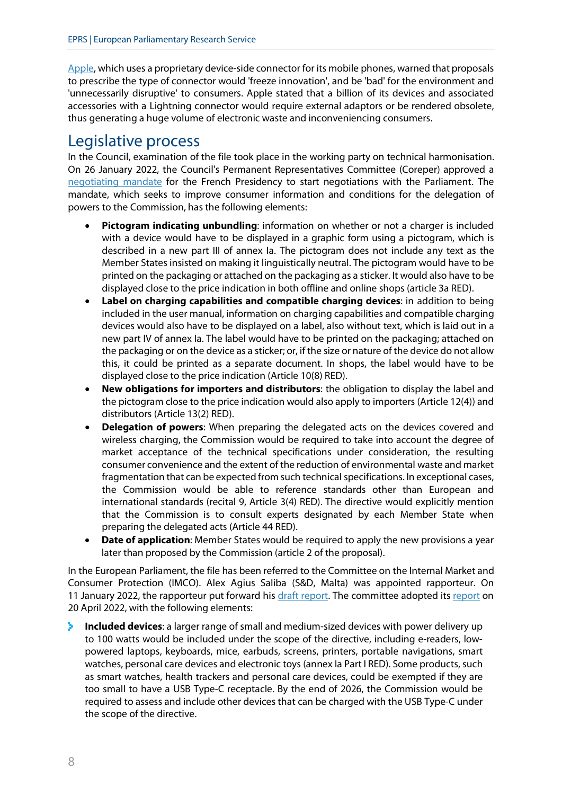[Apple,](https://ec.europa.eu/info/law/better-regulation/have-your-say/initiatives/2020-Standard-chargers-for-mobile-phones/F18119_en) which uses a proprietary device-side connector for its mobile phones, warned that proposals to prescribe the type of connector would 'freeze innovation', and be 'bad' for the environment and 'unnecessarily disruptive' to consumers. Apple stated that a billion of its devices and associated accessories with a Lightning connector would require external adaptors or be rendered obsolete, thus generating a huge volume of electronic waste and inconveniencing consumers.

#### Legislative process

In the Council, examination of the file took place in the working party on technical harmonisation. On 26 January 2022, the Council's Permanent Representatives Committee (Coreper) approved a [negotiating mandate](https://data.consilium.europa.eu/doc/document/ST-5456-2022-INIT/x/pdf) for the French Presidency to start negotiations with the Parliament. The mandate, which seeks to improve consumer information and conditions for the delegation of powers to the Commission, has the following elements:

- **Pictogram indicating unbundling**: information on whether or not a charger is included with a device would have to be displayed in a graphic form using a pictogram, which is described in a new part III of annex Ia. The pictogram does not include any text as the Member States insisted on making it linguistically neutral. The pictogram would have to be printed on the packaging or attached on the packaging as a sticker. It would also have to be displayed close to the price indication in both offline and online shops (article 3a RED).
- **Label on charging capabilities and compatible charging devices**: in addition to being included in the user manual, information on charging capabilities and compatible charging devices would also have to be displayed on a label, also without text, which is laid out in a new part IV of annex Ia. The label would have to be printed on the packaging; attached on the packaging or on the device as a sticker; or, if the size or nature of the device do not allow this, it could be printed as a separate document. In shops, the label would have to be displayed close to the price indication (Article 10(8) RED).
- **New obligations for importers and distributors**: the obligation to display the label and the pictogram close to the price indication would also apply to importers (Article 12(4)) and distributors (Article 13(2) RED).
- **Delegation of powers**: When preparing the delegated acts on the devices covered and wireless charging, the Commission would be required to take into account the degree of market acceptance of the technical specifications under consideration, the resulting consumer convenience and the extent of the reduction of environmental waste and market fragmentation that can be expected from such technical specifications. In exceptional cases, the Commission would be able to reference standards other than European and international standards (recital 9, Article 3(4) RED). The directive would explicitly mention that the Commission is to consult experts designated by each Member State when preparing the delegated acts (Article 44 RED).
- **Date of application**: Member States would be required to apply the new provisions a year later than proposed by the Commission (article 2 of the proposal).

In the European Parliament, the file has been referred to the Committee on the Internal Market and Consumer Protection (IMCO). Alex Agius Saliba (S&D, Malta) was appointed rapporteur. On 11 January 2022, the rapporteur put forward his [draft report.](https://www.europarl.europa.eu/doceo/document/IMCO-PR-702975_EN.html) The committee adopted its [report](https://www.europarl.europa.eu/doceo/document/A-9-2022-0129_EN.html) on 20 April 2022, with the following elements:

э. **Included devices**: a larger range of small and medium-sized devices with power delivery up to 100 watts would be included under the scope of the directive, including e-readers, lowpowered laptops, keyboards, mice, earbuds, screens, printers, portable navigations, smart watches, personal care devices and electronic toys (annex Ia Part I RED). Some products, such as smart watches, health trackers and personal care devices, could be exempted if they are too small to have a USB Type-C receptacle. By the end of 2026, the Commission would be required to assess and include other devices that can be charged with the USB Type-C under the scope of the directive.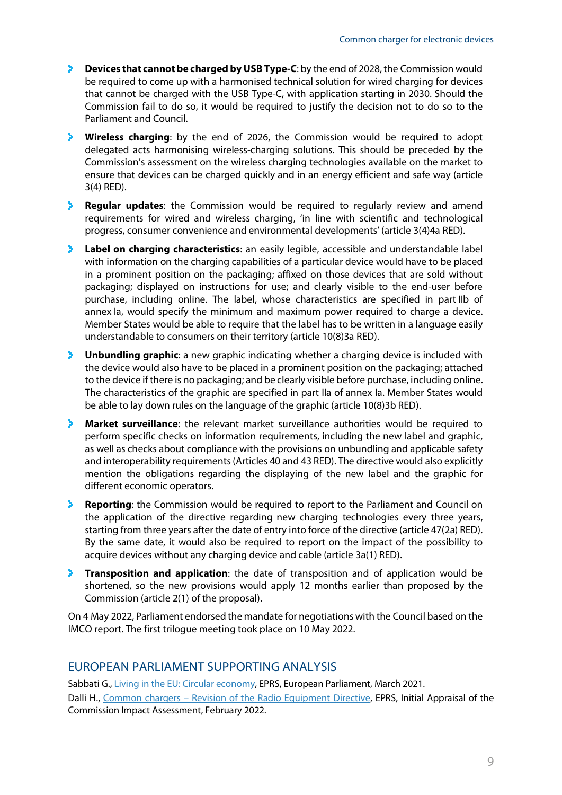- **Devices that cannot be charged by USB Type-C**: by the end of 2028, the Commission would be required to come up with a harmonised technical solution for wired charging for devices that cannot be charged with the USB Type-C, with application starting in 2030. Should the Commission fail to do so, it would be required to justify the decision not to do so to the Parliament and Council.
- **Wireless charging**: by the end of 2026, the Commission would be required to adopt delegated acts harmonising wireless-charging solutions. This should be preceded by the Commission's assessment on the wireless charging technologies available on the market to ensure that devices can be charged quickly and in an energy efficient and safe way (article 3(4) RED).
- **Requiar updates**: the Commission would be required to requiarly review and amend requirements for wired and wireless charging, 'in line with scientific and technological progress, consumer convenience and environmental developments' (article 3(4)4a RED).
- **Label on charging characteristics**: an easily legible, accessible and understandable label with information on the charging capabilities of a particular device would have to be placed in a prominent position on the packaging; affixed on those devices that are sold without packaging; displayed on instructions for use; and clearly visible to the end-user before purchase, including online. The label, whose characteristics are specified in part IIb of annex Ia, would specify the minimum and maximum power required to charge a device. Member States would be able to require that the label has to be written in a language easily understandable to consumers on their territory (article 10(8)3a RED).
- **Unbundling graphic**: a new graphic indicating whether a charging device is included with the device would also have to be placed in a prominent position on the packaging; attached to the device if there is no packaging; and be clearly visible before purchase, including online. The characteristics of the graphic are specified in part IIa of annex Ia. Member States would be able to lay down rules on the language of the graphic (article 10(8)3b RED).
- **Market surveillance**: the relevant market surveillance authorities would be required to perform specific checks on information requirements, including the new label and graphic, as well as checks about compliance with the provisions on unbundling and applicable safety and interoperability requirements(Articles 40 and 43 RED). The directive would also explicitly mention the obligations regarding the displaying of the new label and the graphic for different economic operators.
- **Reporting**: the Commission would be required to report to the Parliament and Council on the application of the directive regarding new charging technologies every three years, starting from three years after the date of entry into force of the directive (article 47(2a) RED). By the same date, it would also be required to report on the impact of the possibility to acquire devices without any charging device and cable (article 3a(1) RED).
- **Transposition and application**: the date of transposition and of application would be shortened, so the new provisions would apply 12 months earlier than proposed by the Commission (article 2(1) of the proposal).

On 4 May 2022, Parliament endorsed the mandate for negotiations with the Council based on the IMCO report. The first trilogue meeting took place on 10 May 2022.

#### EUROPEAN PARLIAMENT SUPPORTING ANALYSIS

Sabbati G., [Living in the EU: Circular economy,](https://www.europarl.europa.eu/thinktank/en/document.html?reference=EPRS_ATA(2021)659391) EPRS, European Parliament, March 2021. Dalli H., Common chargers - Revision of the Radio Equipment Directive, EPRS, Initial Appraisal of the Commission Impact Assessment, February 2022.